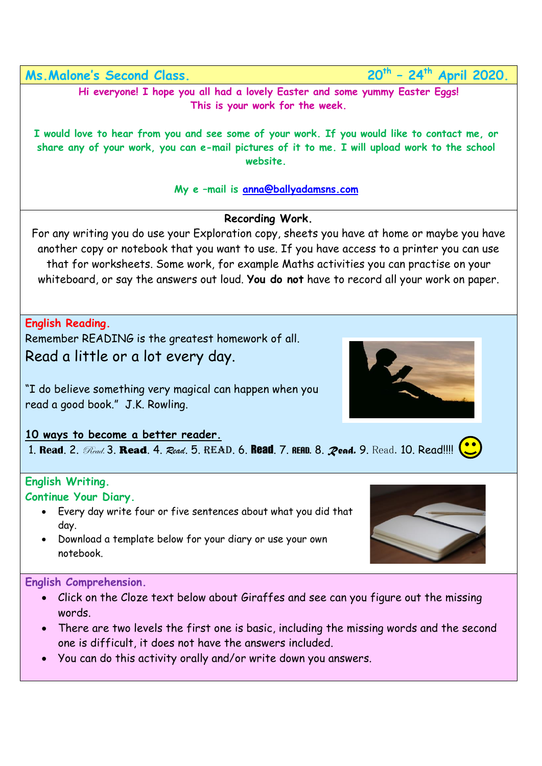**Ms. Malone's Second Class.** 

**– 24th April 2020.**

**Hi everyone! I hope you all had a lovely Easter and some yummy Easter Eggs! This is your work for the week.**

**I would love to hear from you and see some of your work. If you would like to contact me, or share any of your work, you can e-mail pictures of it to me. I will upload work to the school website.** 

**My e –mail is [anna@ballyadamsns.com](mailto:anna@ballyadamsns.com)**

## **Recording Work.**

For any writing you do use your Exploration copy, sheets you have at home or maybe you have another copy or notebook that you want to use. If you have access to a printer you can use that for worksheets. Some work, for example Maths activities you can practise on your whiteboard, or say the answers out loud. **You do not** have to record all your work on paper.

**English Reading.** 

Remember READING is the greatest homework of all. Read a little or a lot every day.

"I do believe something very magical can happen when you read a good book." J.K. Rowling.

## **10 ways to become a better reader.**

1. **Read**. 2. Read. 3. Read. 4. *Read*. 5. Read. 6. Read. 7. Read. 8. *Read.* 9. Read. 10. Read!!!!

## **English Writing.**

**Continue Your Diary.**

- Every day write four or five sentences about what you did that day.
- Download a template below for your diary or use your own notebook.

**English Comprehension.** 

- Click on the Cloze text below about Giraffes and see can you figure out the missing words.
- There are two levels the first one is basic, including the missing words and the second one is difficult, it does not have the answers included.
- You can do this activity orally and/or write down you answers.



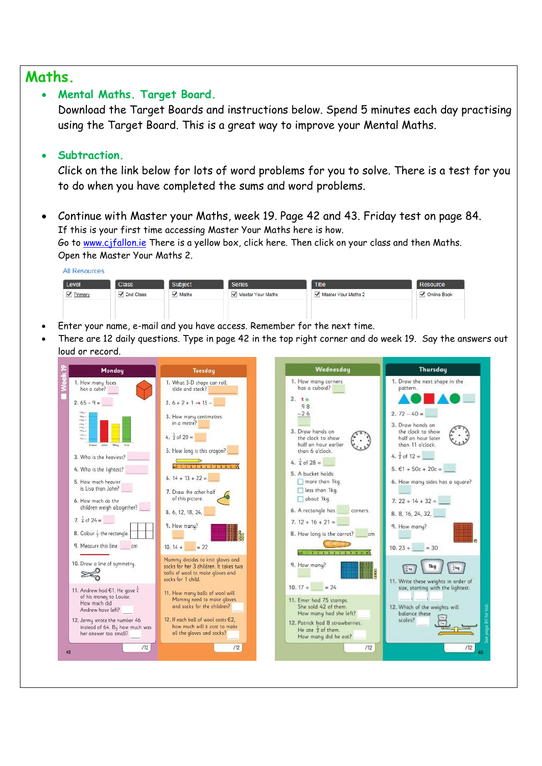## **Maths.**

7.  $\frac{1}{4}$  of 24 =

 $\approx$ 

8. Colour  $\frac{1}{2}$  the rectangle.

9. Measure this line. \_\_\_\_\_ cm

10. Draw a line of symmetry.

11. Andrew had  $61$ . He gave  $\frac{1}{4}$ 

of his money to Louise.

12. Jenny wrote the number 46

her answer too small?

instead of 64. By how much was

 $\sqrt{2}$ 

How much did

42

Andrew have left?

9. How many?

socks for 1 child.

 $10.14 + 22$ 

Mammy decides to knit gloves and<br>socks for her 3 children. It takes two

balls of wool to make gloves and

11. How many balls of wool will

and sorks for the children?

12. If each ball of wool costs €2,

all the gloves and socks?

Mammy need to make gloves

how much will it cost to make



Ļ

 $\sqrt{12}$ 

 $7.12 + 16 + 21 =$ 

9. How monu?

 $10.17 + 24$ 

11. Emer had 75 stamps.

He ate  $\frac{1}{2}$  of them

She sold 42 of the

How many had she left?

12. Patrick had 8 strawberries.

How many did he eat?

8. How long is the carrot? \_\_\_\_\_ cm **CERTIFICA** 

the concentration of the con-

9. How many?

 $\sqrt{\frac{1}{4}}$  kg  $\sqrt{2}$ 

 $10.23 + 30$ 

1kg

11. Write these weights in order of<br>size, starting with the lightest:

12. Which of the weights will

balance these

scales?

 $\sqrt{12}$ 

 $\frac{1}{2}\log$ 

 $/12$